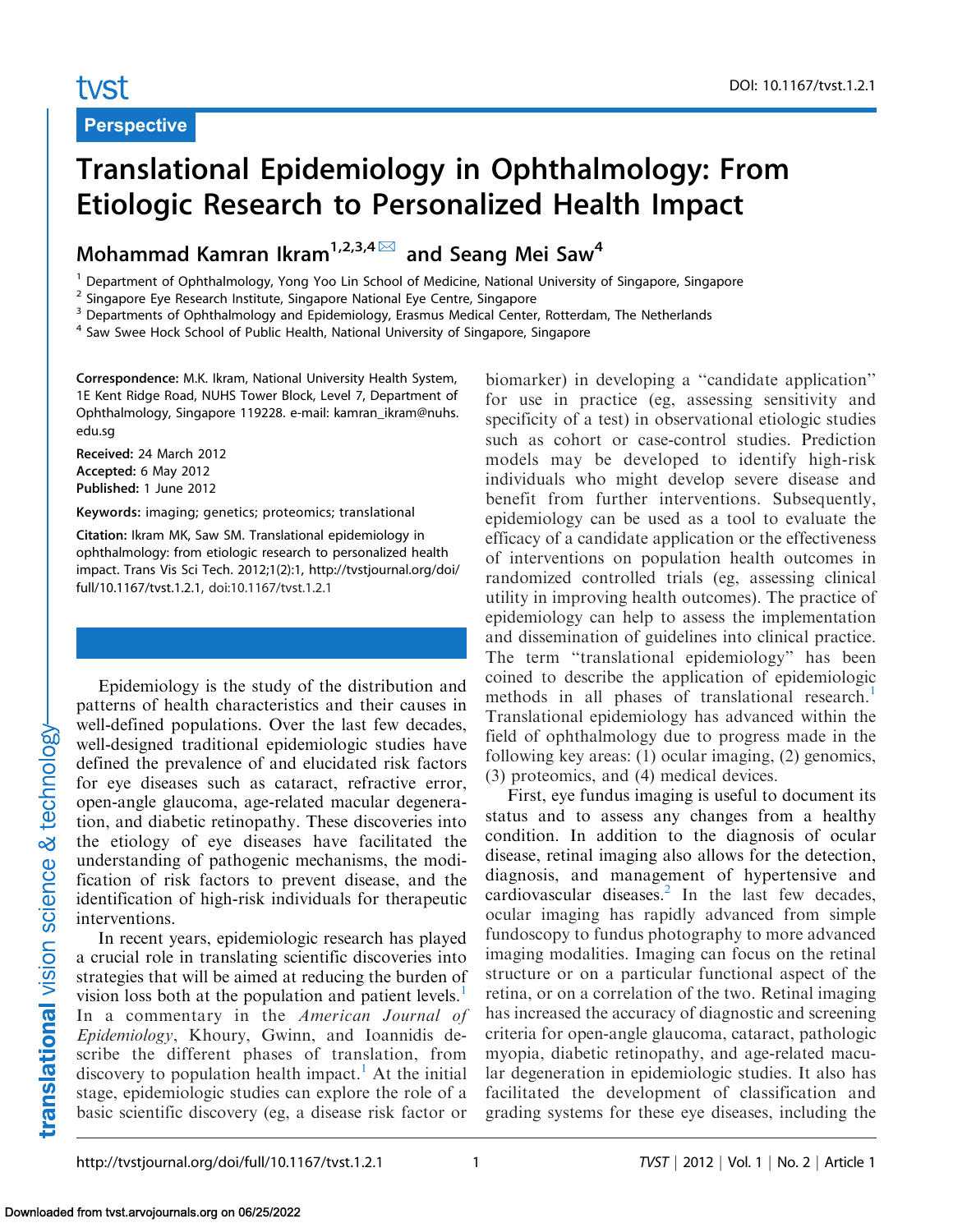## Translational Epidemiology in Ophthalmology: From Etiologic Research to Personalized Health Impact

Mohammad Kamran Ikram<sup>1,2,3,4 $\overline{\phantom{a}}$  and Seang Mei Saw<sup>4</sup></sup>

<sup>1</sup> Department of Ophthalmology, Yong Yoo Lin School of Medicine, National University of Singapore, Singapore

<sup>2</sup> Singapore Eye Research Institute, Singapore National Eye Centre, Singapore

<sup>3</sup> Departments of Ophthalmology and Epidemiology, Erasmus Medical Center, Rotterdam, The Netherlands

<sup>4</sup> Saw Swee Hock School of Public Health, National University of Singapore, Singapore

Correspondence: M.K. Ikram, National University Health System, 1E Kent Ridge Road, NUHS Tower Block, Level 7, Department of Ophthalmology, Singapore 119228. e-mail: kamran\_ikram@nuhs. edu.sg

Received: 24 March 2012 Accepted: 6 May 2012 Published: 1 June 2012

Keywords: imaging; genetics; proteomics; translational

Citation: [Ikram MK, Saw SM. Translational epidemiology in](http://tvstjournal.org/doi/full/10.1167/tvst.1.2.1) [ophthalmology: from etiologic research to personalized health](http://tvstjournal.org/doi/full/10.1167/tvst.1.2.1) [impact. Trans Vis Sci Tech. 2012;1\(2\):1, http://tvstjournal.org/doi/](http://tvstjournal.org/doi/full/10.1167/tvst.1.2.1) [full/10.1167/tvst.1.2.1, doi:10.1167/tvst.1.2.1](http://tvstjournal.org/doi/full/10.1167/tvst.1.2.1)

Epidemiology is the study of the distribution and patterns of health characteristics and their causes in well-defined populations. Over the last few decades, well-designed traditional epidemiologic studies have defined the prevalence of and elucidated risk factors for eye diseases such as cataract, refractive error, open-angle glaucoma, age-related macular degeneration, and diabetic retinopathy. These discoveries into the etiology of eye diseases have facilitated the understanding of pathogenic mechanisms, the modification of risk factors to prevent disease, and the identification of high-risk individuals for therapeutic interventions.

In recent years, epidemiologic research has played a crucial role in translating scientific discoveries into strategies that will be aimed at reducing the burden of vision loss both at the population and patient levels.<sup>[1](#page-2-0)</sup> In a commentary in the *American Journal of* Epidemiology, Khoury, Gwinn, and Ioannidis describe the different phases of translation, from discovery to population health impact.<sup>[1](#page-2-0)</sup> At the initial stage, epidemiologic studies can explore the role of a basic scientific discovery (eg, a disease risk factor or

biomarker) in developing a ''candidate application'' for use in practice (eg, assessing sensitivity and specificity of a test) in observational etiologic studies such as cohort or case-control studies. Prediction models may be developed to identify high-risk individuals who might develop severe disease and benefit from further interventions. Subsequently, epidemiology can be used as a tool to evaluate the efficacy of a candidate application or the effectiveness of interventions on population health outcomes in randomized controlled trials (eg, assessing clinical utility in improving health outcomes). The practice of epidemiology can help to assess the implementation and dissemination of guidelines into clinical practice. The term ''translational epidemiology'' has been coined to describe the application of epidemiologic methods in all phases of translational research.<sup>[1](#page-2-0)</sup> Translational epidemiology has advanced within the field of ophthalmology due to progress made in the following key areas: (1) ocular imaging, (2) genomics, (3) proteomics, and (4) medical devices.

First, eye fundus imaging is useful to document its status and to assess any changes from a healthy condition. In addition to the diagnosis of ocular disease, retinal imaging also allows for the detection, diagnosis, and management of hypertensive and cardiovascular diseases.<sup>[2](#page-2-0)</sup> In the last few decades, ocular imaging has rapidly advanced from simple fundoscopy to fundus photography to more advanced imaging modalities. Imaging can focus on the retinal structure or on a particular functional aspect of the retina, or on a correlation of the two. Retinal imaging has increased the accuracy of diagnostic and screening criteria for open-angle glaucoma, cataract, pathologic myopia, diabetic retinopathy, and age-related macular degeneration in epidemiologic studies. It also has facilitated the development of classification and grading systems for these eye diseases, including the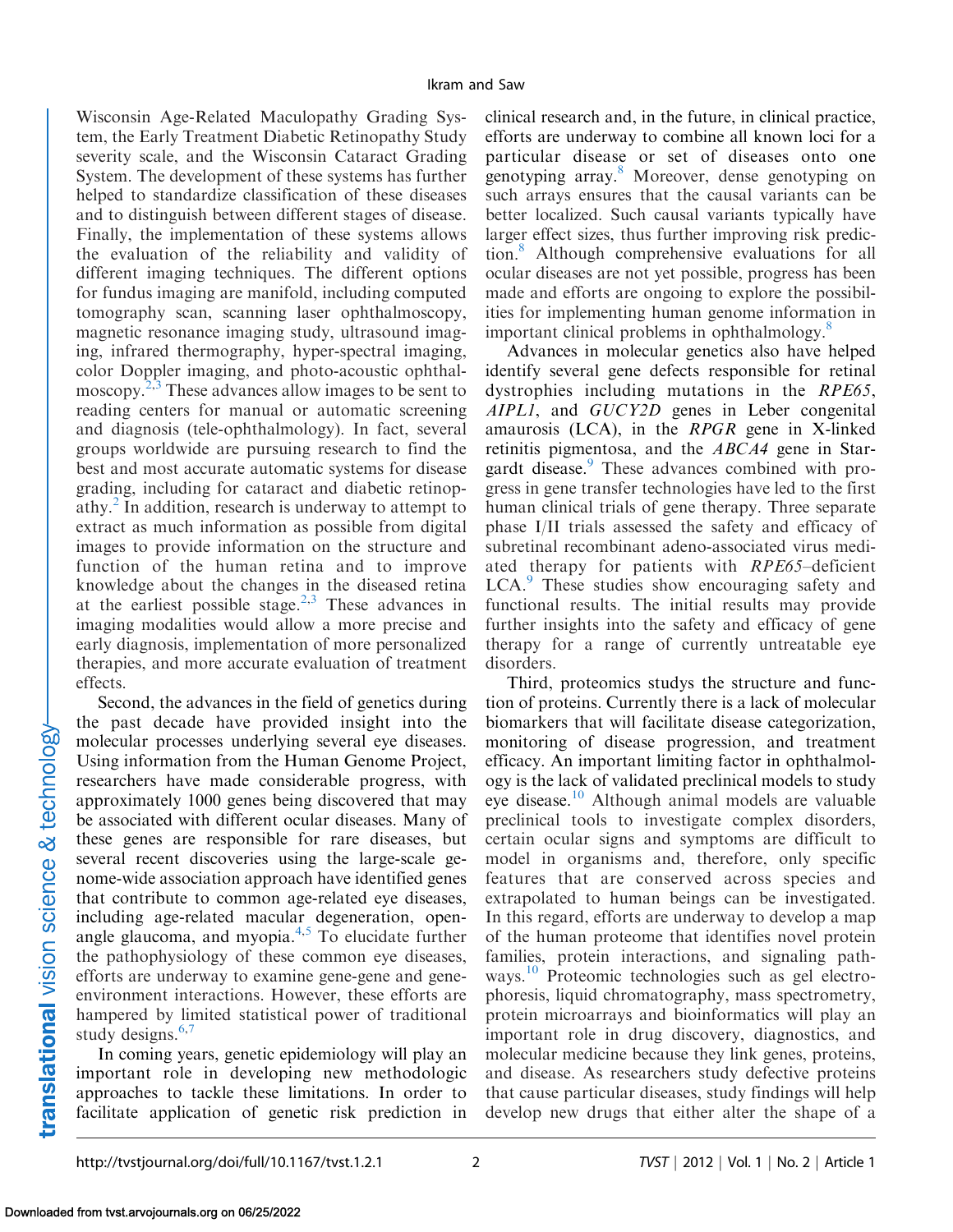Wisconsin Age-Related Maculopathy Grading System, the Early Treatment Diabetic Retinopathy Study severity scale, and the Wisconsin Cataract Grading System. The development of these systems has further helped to standardize classification of these diseases and to distinguish between different stages of disease. Finally, the implementation of these systems allows the evaluation of the reliability and validity of different imaging techniques. The different options for fundus imaging are manifold, including computed tomography scan, scanning laser ophthalmoscopy, magnetic resonance imaging study, ultrasound imaging, infrared thermography, hyper-spectral imaging, color Doppler imaging, and photo-acoustic ophthal-moscopy.<sup>[2,3](#page-2-0)</sup> These advances allow images to be sent to reading centers for manual or automatic screening and diagnosis (tele-ophthalmology). In fact, several groups worldwide are pursuing research to find the best and most accurate automatic systems for disease grading, including for cataract and diabetic retinopathy.[2](#page-2-0) In addition, research is underway to attempt to extract as much information as possible from digital images to provide information on the structure and function of the human retina and to improve knowledge about the changes in the diseased retina at the earliest possible stage.<sup>[2](#page-2-0),[3](#page-2-0)</sup> These advances in imaging modalities would allow a more precise and early diagnosis, implementation of more personalized therapies, and more accurate evaluation of treatment effects.

Second, the advances in the field of genetics during the past decade have provided insight into the molecular processes underlying several eye diseases. Using information from the Human Genome Project, researchers have made considerable progress, with approximately 1000 genes being discovered that may be associated with different ocular diseases. Many of these genes are responsible for rare diseases, but several recent discoveries using the large-scale genome-wide association approach have identified genes that contribute to common age-related eye diseases, including age-related macular degeneration, openangle glaucoma, and myopia.[4,5](#page-2-0) To elucidate further the pathophysiology of these common eye diseases, efforts are underway to examine gene-gene and geneenvironment interactions. However, these efforts are hampered by limited statistical power of traditional study designs. $6,7$ 

In coming years, genetic epidemiology will play an important role in developing new methodologic approaches to tackle these limitations. In order to facilitate application of genetic risk prediction in clinical research and, in the future, in clinical practice, efforts are underway to combine all known loci for a particular disease or set of diseases onto one genotyping array.<sup>[8](#page-2-0)</sup> Moreover, dense genotyping on such arrays ensures that the causal variants can be better localized. Such causal variants typically have larger effect sizes, thus further improving risk prediction[.8](#page-2-0) Although comprehensive evaluations for all ocular diseases are not yet possible, progress has been made and efforts are ongoing to explore the possibilities for implementing human genome information in important clinical problems in ophthalmology.<sup>[8](#page-2-0)</sup>

Advances in molecular genetics also have helped identify several gene defects responsible for retinal dystrophies including mutations in the RPE65, AIPL1, and GUCY2D genes in Leber congenital amaurosis (LCA), in the RPGR gene in X-linked retinitis pigmentosa, and the  $ABCA4$  gene in Star-gardt disease.<sup>[9](#page-2-0)</sup> These advances combined with progress in gene transfer technologies have led to the first human clinical trials of gene therapy. Three separate phase I/II trials assessed the safety and efficacy of subretinal recombinant adeno-associated virus mediated therapy for patients with RPE65–deficient LCA.<sup>9</sup> These studies show encouraging safety and functional results. The initial results may provide further insights into the safety and efficacy of gene therapy for a range of currently untreatable eye disorders.

Third, proteomics studys the structure and function of proteins. Currently there is a lack of molecular biomarkers that will facilitate disease categorization, monitoring of disease progression, and treatment efficacy. An important limiting factor in ophthalmology is the lack of validated preclinical models to study eye disease.<sup>[10](#page-2-0)</sup> Although animal models are valuable preclinical tools to investigate complex disorders, certain ocular signs and symptoms are difficult to model in organisms and, therefore, only specific features that are conserved across species and extrapolated to human beings can be investigated. In this regard, efforts are underway to develop a map of the human proteome that identifies novel protein families, protein interactions, and signaling path-ways.<sup>[10](#page-2-0)</sup> Proteomic technologies such as gel electrophoresis, liquid chromatography, mass spectrometry, protein microarrays and bioinformatics will play an important role in drug discovery, diagnostics, and molecular medicine because they link genes, proteins, and disease. As researchers study defective proteins that cause particular diseases, study findings will help develop new drugs that either alter the shape of a

Downloaded from tvst.arvojournals.org on 06/25/2022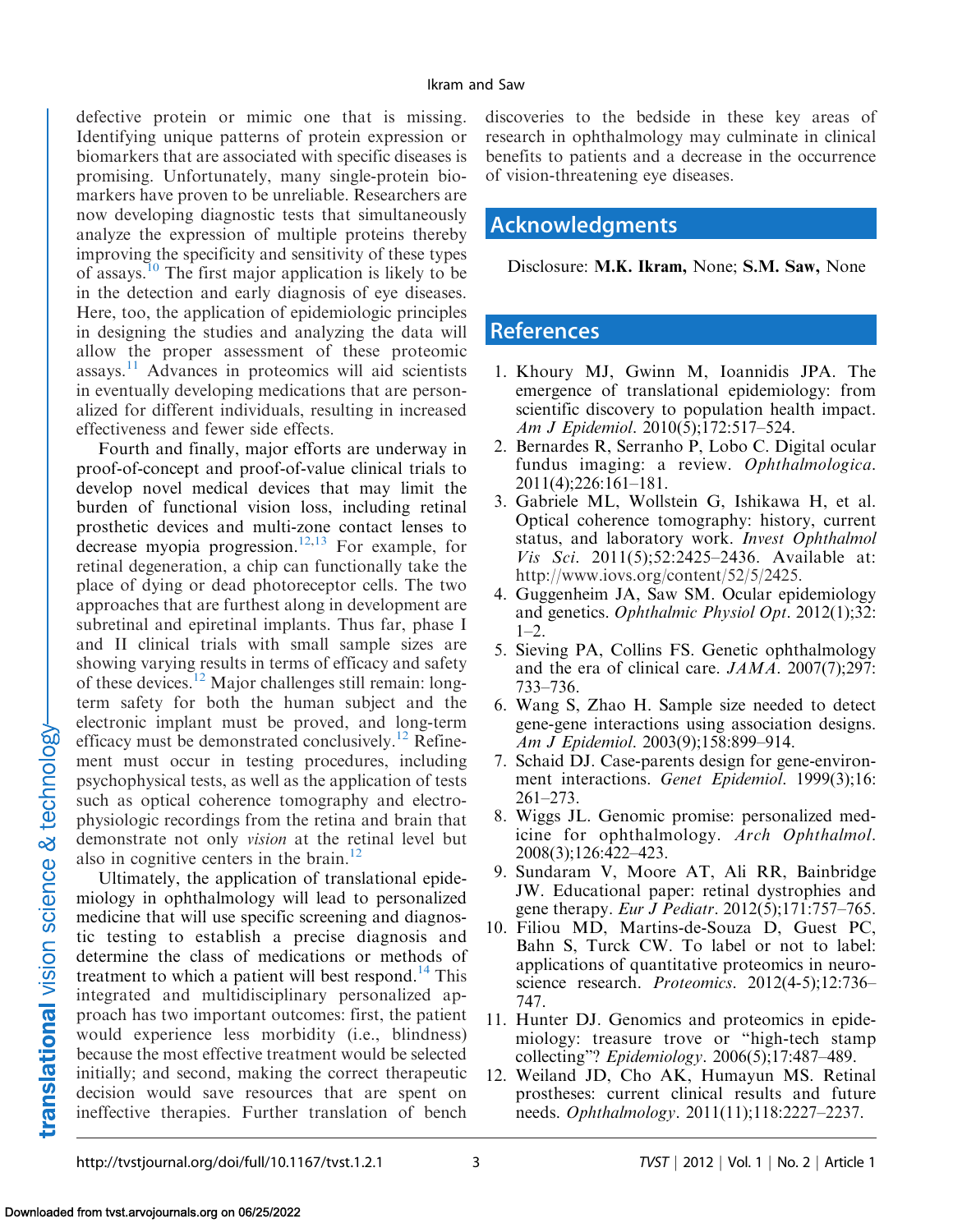<span id="page-2-0"></span>defective protein or mimic one that is missing. Identifying unique patterns of protein expression or biomarkers that are associated with specific diseases is promising. Unfortunately, many single-protein biomarkers have proven to be unreliable. Researchers are now developing diagnostic tests that simultaneously analyze the expression of multiple proteins thereby improving the specificity and sensitivity of these types of assays.<sup>10</sup> The first major application is likely to be in the detection and early diagnosis of eye diseases. Here, too, the application of epidemiologic principles in designing the studies and analyzing the data will allow the proper assessment of these proteomic assays.11 Advances in proteomics will aid scientists in eventually developing medications that are personalized for different individuals, resulting in increased effectiveness and fewer side effects.

Fourth and finally, major efforts are underway in proof-of-concept and proof-of-value clinical trials to develop novel medical devices that may limit the burden of functional vision loss, including retinal prosthetic devices and multi-zone contact lenses to decrease myopia progression. $12,13$  $12,13$  For example, for retinal degeneration, a chip can functionally take the place of dying or dead photoreceptor cells. The two approaches that are furthest along in development are subretinal and epiretinal implants. Thus far, phase I and II clinical trials with small sample sizes are showing varying results in terms of efficacy and safety of these devices.12 Major challenges still remain: longterm safety for both the human subject and the electronic implant must be proved, and long-term efficacy must be demonstrated conclusively.<sup>12</sup> Refinement must occur in testing procedures, including psychophysical tests, as well as the application of tests such as optical coherence tomography and electrophysiologic recordings from the retina and brain that demonstrate not only vision at the retinal level but also in cognitive centers in the brain.<sup>12</sup>

Ultimately, the application of translational epidemiology in ophthalmology will lead to personalized medicine that will use specific screening and diagnostic testing to establish a precise diagnosis and determine the class of medications or methods of treatment to which a patient will best respond.<sup>14</sup> This integrated and multidisciplinary personalized approach has two important outcomes: first, the patient would experience less morbidity (i.e., blindness) because the most effective treatment would be selected initially; and second, making the correct therapeutic decision would save resources that are spent on ineffective therapies. Further translation of bench

discoveries to the bedside in these key areas of research in ophthalmology may culminate in clinical benefits to patients and a decrease in the occurrence of vision-threatening eye diseases.

## Acknowledgments

Disclosure: M.K. Ikram, None; S.M. Saw, None

## **References**

- 1. Khoury MJ, Gwinn M, Ioannidis JPA. The emergence of translational epidemiology: from scientific discovery to population health impact. Am J Epidemiol. 2010(5);172:517–524.
- 2. Bernardes R, Serranho P, Lobo C. Digital ocular fundus imaging: a review. Ophthalmologica. 2011(4);226:161–181.
- 3. Gabriele ML, Wollstein G, Ishikawa H, et al. Optical coherence tomography: history, current status, and laboratory work. Invest Ophthalmol Vis Sci. 2011(5);52:2425–2436. Available at: [http://www.iovs.org/content/52/5/2425.](http://www.iovs.org/content/52/5/2425)
- 4. Guggenheim JA, Saw SM. Ocular epidemiology and genetics. Ophthalmic Physiol Opt. 2012(1);32:  $1-2.$
- 5. Sieving PA, Collins FS. Genetic ophthalmology and the era of clinical care. JAMA. 2007(7);297: 733–736.
- 6. Wang S, Zhao H. Sample size needed to detect gene-gene interactions using association designs. Am J Epidemiol. 2003(9);158:899–914.
- 7. Schaid DJ. Case-parents design for gene-environment interactions. Genet Epidemiol. 1999(3);16: 261–273.
- 8. Wiggs JL. Genomic promise: personalized medicine for ophthalmology. Arch Ophthalmol. 2008(3);126:422–423.
- 9. Sundaram V, Moore AT, Ali RR, Bainbridge JW. Educational paper: retinal dystrophies and gene therapy. Eur J Pediatr. 2012(5);171:757–765.
- 10. Filiou MD, Martins-de-Souza D, Guest PC, Bahn S, Turck CW. To label or not to label: applications of quantitative proteomics in neuroscience research. Proteomics. 2012(4-5);12:736– 747.
- 11. Hunter DJ. Genomics and proteomics in epidemiology: treasure trove or ''high-tech stamp collecting''? Epidemiology. 2006(5);17:487–489.
- 12. Weiland JD, Cho AK, Humayun MS. Retinal prostheses: current clinical results and future needs. Ophthalmology. 2011(11);118:2227–2237.